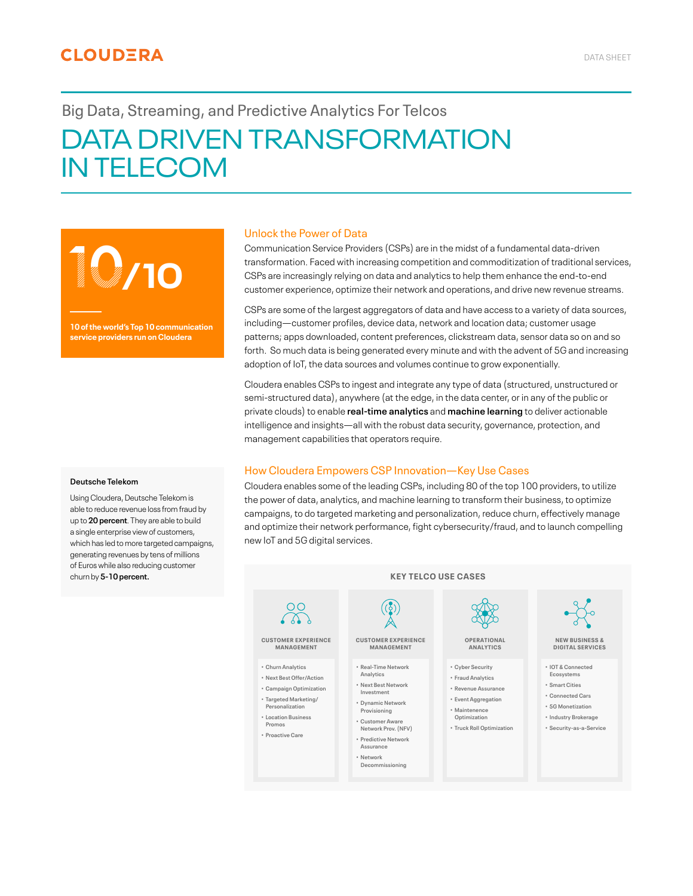# **CLOUDERA**

# Big Data, Streaming, and Predictive Analytics For Telcos DATA DRIVEN TRANSFORMATION IN TELECOM

10**/10**

**10 of the world's Top 10 communication service providers run on Cloudera**

#### **Deutsche Telekom**

Using Cloudera, Deutsche Telekom is able to reduce revenue loss from fraud by up to **20 percent**. They are able to build a single enterprise view of customers, which has led to more targeted campaigns, generating revenues by tens of millions of Euros while also reducing customer churn by **5-10 percent.**

### Unlock the Power of Data

Communication Service Providers (CSPs) are in the midst of a fundamental data-driven transformation. Faced with increasing competition and commoditization of traditional services, CSPs are increasingly relying on data and analytics to help them enhance the end-to-end customer experience, optimize their network and operations, and drive new revenue streams.

CSPs are some of the largest aggregators of data and have access to a variety of data sources, including—customer profiles, device data, network and location data; customer usage patterns; apps downloaded, content preferences, clickstream data, sensor data so on and so forth. So much data is being generated every minute and with the advent of 5G and increasing adoption of IoT, the data sources and volumes continue to grow exponentially.

Cloudera enables CSPs to ingest and integrate any type of data (structured, unstructured or semi-structured data), anywhere (at the edge, in the data center, or in any of the public or private clouds) to enable **real-time analytics** and **machine learning** to deliver actionable intelligence and insights—all with the robust data security, governance, protection, and management capabilities that operators require.

#### How Cloudera Empowers CSP Innovation—Key Use Cases

Cloudera enables some of the leading CSPs, including 80 of the top 100 providers, to utilize the power of data, analytics, and machine learning to transform their business, to optimize campaigns, to do targeted marketing and personalization, reduce churn, effectively manage and optimize their network performance, fight cybersecurity/fraud, and to launch compelling new IoT and 5G digital services.

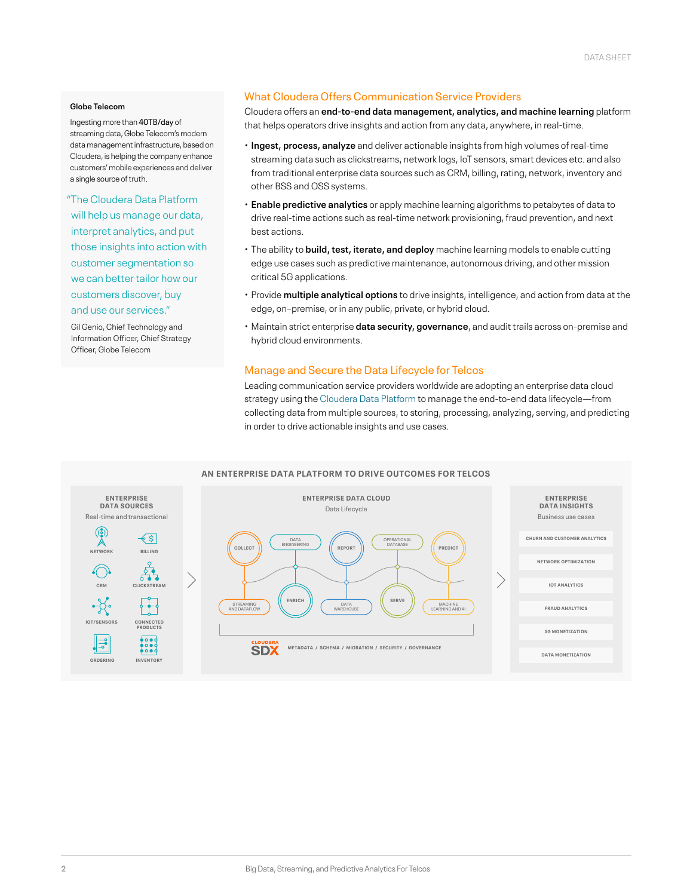#### **Globe Telecom**

Ingesting more than 40TB/day of streaming data, Globe Telecom's modern data management infrastructure, based on Cloudera, is helping the company enhance customers' mobile experiences and deliver a single source of truth.

"The Cloudera Data Platform will help us manage our data, interpret analytics, and put those insights into action with customer segmentation so we can better tailor how our customers discover, buy and use our services."

Gil Genio, Chief Technology and Information Officer, Chief Strategy Officer, Globe Telecom

## What Cloudera Offers Communication Service Providers

Cloudera offers an **end-to-end data management, analytics, and machine learning** platform that helps operators drive insights and action from any data, anywhere, in real-time.

- **Ingest, process, analyze** and deliver actionable insights from high volumes of real-time streaming data such as clickstreams, network logs, IoT sensors, smart devices etc. and also from traditional enterprise data sources such as CRM, billing, rating, network, inventory and other BSS and OSS systems.
- **Enable predictive analytics** or apply machine learning algorithms to petabytes of data to drive real-time actions such as real-time network provisioning, fraud prevention, and next best actions.
- The ability to **build, test, iterate, and deploy** machine learning models to enable cutting edge use cases such as predictive maintenance, autonomous driving, and other mission critical 5G applications.
- Provide **multiple analytical options** to drive insights, intelligence, and action from data at the edge, on–premise, or in any public, private, or hybrid cloud.
- Maintain strict enterprise **data security, governance**, and audit trails across on-premise and hybrid cloud environments.

### Manage and Secure the Data Lifecycle for Telcos

Leading communication service providers worldwide are adopting an enterprise data cloud strategy using the Cloudera Data Platform to manage the end-to-end data lifecycle—from collecting data from multiple sources, to storing, processing, analyzing, serving, and predicting in order to drive actionable insights and use cases.